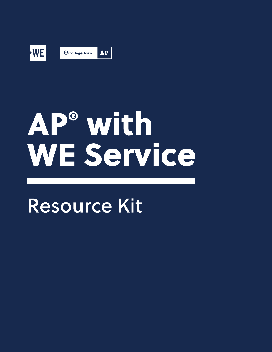

# AP® with WE Service

# **Resource Kit**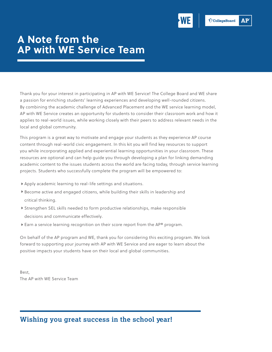

## **A Note from the AP with WE Service Team**

Thank you for your interest in participating in AP with WE Service! The College Board and WE share a passion for enriching students' learning experiences and developing well-rounded citizens. By combining the academic challenge of Advanced Placement and the WE service learning model, AP with WE Service creates an opportunity for students to consider their classroom work and how it applies to real-world issues, while working closely with their peers to address relevant needs in the local and global community.

This program is a great way to motivate and engage your students as they experience AP course content through real-world civic engagement. In this kit you will find key resources to support you while incorporating applied and experiential learning opportunities in your classroom. These resources are optional and can help guide you through developing a plan for linking demanding academic content to the issues students across the world are facing today, through service learning projects. Students who successfully complete the program will be empowered to:

- Apply academic learning to real-life settings and situations.
- Become active and engaged citizens, while building their skills in leadership and critical thinking.
- Strengthen SEL skills needed to form productive relationships, make responsible decisions and communicate effectively.
- ▶ Earn a service learning recognition on their score report from the AP® program.

On behalf of the AP program and WE, thank you for considering this exciting program. We look forward to supporting your journey with AP with WE Service and are eager to learn about the positive impacts your students have on their local and global communities.

Best,<br>The AP with WE Service Team

#### **Wishing you great success in the school year!**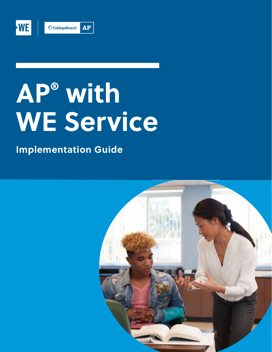

# **AP® with WE Service**

**Implementation Guide** 

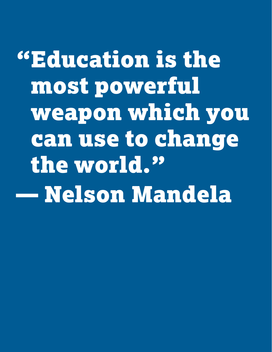"Education is the most powerful weapon which you can use to change the world." — Nelson Mandela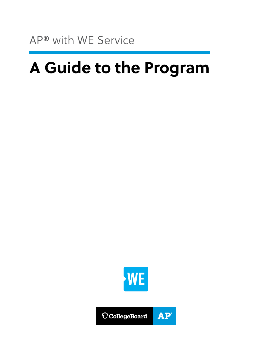## **A Guide to the Program**



**AP**  $\bigcirc$  CollegeBoard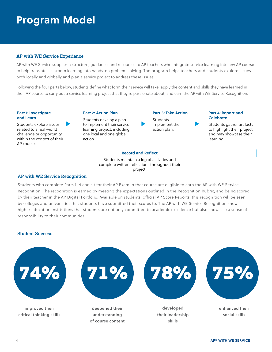## **Program Model**

#### **AP with WE Service Experience**

 both locally and globally and plan a service project to address these issues. AP with WE Service supplies a structure, guidance, and resources to AP teachers who integrate service learning into any AP course to help translate classroom learning into hands-on problem solving. The program helps teachers and students explore issues

Following the four parts below, students define what form their service will take, apply the content and skills they have learned in their AP course to carry out a service learning project that they're passionate about, and earn the AP with WE Service Recognition.

#### **Part 1: Investigate and Learn**

Students explore issues related to a real-world challenge or opportunity within the context of their AP course.

Students develop a plan to implement their service learning project, including one local and one global action.

**Part 2: Action Plan** 

**Part 3: Take Action Students** implement their action plan.

#### **Part 4: Report and Celebrate**

Students gather artifacts to highlight their project and may showcase their learning.

#### **Record and Reflect**

Students maintain a log of activities and complete written reflections throughout their project.

#### **AP with WE Service Recognition**

Students who complete Parts 1–4 and sit for their AP Exam in that course are eligible to earn the AP with WE Service Recognition. The recognition is earned by meeting the expectations outlined in the Recognition Rubric, and being scored by their teacher in the AP Digital Portfolio. Available on students' official AP Score Reports, this recognition will be seen by colleges and universities that students have submitted their scores to. The AP with WE Service Recognition shows higher education institutions that students are not only committed to academic excellence but also showcase a sense of responsibility to their communities.

#### **Student Success**

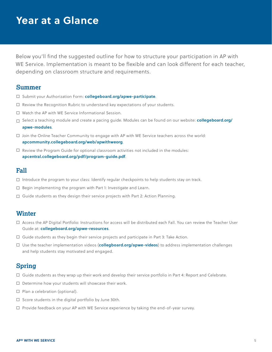## **Year at a Glance**

 Below you'll find the suggested outline for how to structure your participation in AP with WE Service. Implementation is meant to be flexible and can look different for each teacher, depending on classroom structure and requirements.

#### **Summer**

- □ Submit your Authorization Form: **[collegeboard.org/apwe-participate](http://collegeboard.org/apwe-participate)**.
- Review the Recognition Rubric to understand key expectations of your students.
- □ Watch the AP with WE Service Informational Session.
- Select a teaching module and create a pacing guide. Modules can be found on our website: **[collegeboard.org/](http://collegeboard.org/apwe-modules)  [apwe-modules](http://collegeboard.org/apwe-modules)**.
- $\Box$  Join the Online Teacher Community to engage with AP with WE Service teachers across the world: **[apcommunity.collegeboard.org/web/apwithweorg](http://apcommunity.collegeboard.org/web/apwithweorg)**.
- $\Box$  Review the Program Guide for optional classroom activities not included in the modules: **[apcentral.collegeboard.org/pdf/program-guide.pdf](https://apcentral.collegeboard.org/pdf/program-guide.pdf)**.

#### **Fall**

- $\Box$  Introduce the program to your class: Identify regular checkpoints to help students stay on track.
- $\Box$  Begin implementing the program with Part 1: Investigate and Learn.
- $\square$  Guide students as they design their service projects with Part 2: Action Planning.

#### **Winter**

- Access the AP Digital Portfolio: Instructions for access will be distributed each Fall. You can review the Teacher User Guide at: **[collegeboard.org/apwe-resources](http://collegeboard.org/apwe-resources)**.
- $\Box$  Guide students as they begin their service projects and participate in Part 3: Take Action.
- Use the teacher implementation videos (**[collegboard.org/apwe-videos](http://collegboard.org/apwe-videos)**) to address implementation challenges and help students stay motivated and engaged.

#### **Spring**

- $\Box$  Guide students as they wrap up their work and develop their service portfolio in Part 4: Report and Celebrate.
- $\Box$  Determine how your students will showcase their work.
- $\square$  Plan a celebration (optional).
- $\square$  Score students in the digital portfolio by June 30th.
- $\Box$  Provide feedback on your AP with WE Service experience by taking the end-of-year survey.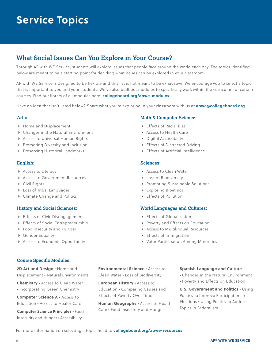## **Service Topics**

#### **What Social Issues Can You Explore in Your Course?**

Through AP with WE Service, students will explore issues that people face around the world each day. The topics identified below are meant to be a starting point for deciding what issues can be explored in your classroom.

AP with WE Service is designed to be flexible and this list is not meant to be exhaustive. We encourage you to select a topic that is important to you and your students. We've also built out modules to specifically work within the curriculum of certain courses. Find our library of all modules here: **[collegeboard.org/apwe-modules](http://collegeboard.org/apwe-modules)**.

Have an idea that isn't listed below? Share what you're exploring in your classroom with us at **[apwe@collegeboard.org](mailto:apwe@collegeboard.org)**.

#### **Arts:**

- Home and Displacement
- Changes in the Natural Environment
- Access to Universal Human Rights
- Promoting Diversity and Inclusion
- Preserving Historical Landmarks

#### **English:**

- Access to Literacy
- **Access to Government Resources**
- Civil Rights
- Loss of Tribal Languages
- ▶ Climate Change and Politics

#### **History and Social Sciences:**

- Effects of Civic Disengagement
- ▶ Effects of Social Entrepreneurship
- Food Insecurity and Hunger
- Gender Equality
- Access to Economic Opportunity

#### **Math & Computer Science:**

- ▶ Effects of Racial Bias
- Access to Health Care
- Digital Accessibility
- Effects of Distracted Driving
- Effects of Artificial Intelligence

#### **Sciences:**

- ▶ Access to Clean Water
- **Loss of Biodiversity**
- Promoting Sustainable Solutions
- Exploring Bioethics
- Effects of Pollution

#### **World Languages and Cultures:**

- ▶ Effects of Globalization
- Poverty and Effects on Education
- Access to Multilingual Resources
- Effects of Immigration
- ▶ Voter Participation Among Minorities

#### **Course Specific Modules:**

**2D Art and Design** • Home and Displacement • Natural Environments

**Chemistry** • Access to Clean Water • Incorporating Green Chemistry

**Computer Science A** • Access to Education • Access to Health Care

**Computer Science Principles** • Food Insecurity and Hunger • Accessibility

**Environmental Science** • Access to Clean Water • Loss of Biodiversity

**European History** • Access to Education • Comparing Causes and Effects of Poverty Over Time

**Human Geography** • Access to Health Care • Food Insecurity and Hunger

#### **Spanish Language and Culture**

- Changes in the Natural Environment
- Poverty and Effects on Education

**U.S. Government and Politics** • Using Politics to Improve Participation in Elections • Using Politics to Address Topics in Federalism

For more information on selecting a topic, head to **[collegeboard.org/apwe-resources](http://collegeboard.org/apwe-resources)**.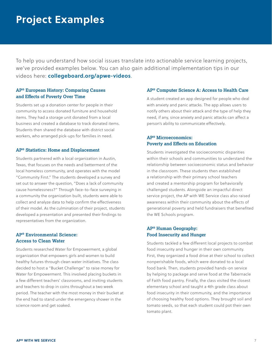## **Project Examples**

To help you understand how social issues translate into actionable service learning projects, we've provided examples below. You can also gain additional implementation tips in our videos here: **[collegeboard.org/apwe-videos](http://collegeboard.org/apwe-videos)**.

#### **AP® European History: Comparing Causes and Effects of Poverty Over Time**

Students set up a donation center for people in their community to access donated furniture and household items. They had a storage unit donated from a local business and created a database to track donated items. Students then shared the database with district social workers, who arranged pick-ups for families in need.

#### **AP® Statistics: Home and Displacement**

Students partnered with a local organization in Austin, Texas, that focuses on the needs and betterment of the local homeless community, and operates with the model "Community First." The students developed a survey and set out to answer the question, "Does a lack of community cause homelessness?" Through face-to-face surveying in a community the organization built, students were able to collect and analyze data to help confirm the effectiveness of their model. As the culmination of their project, students developed a presentation and presented their findings to representatives from the organization.

#### **AP® Environmental Science: Access to Clean Water**

Students researched Water for Empowerment, a global organization that empowers girls and women to build healthy futures through clean water initiatives. The class decided to host a "Bucket Challenge" to raise money for Water for Empowerment. This involved placing buckets in a few different teachers' classrooms, and inviting students and teachers to drop in coins throughout a two week period. The teacher with the most money in their bucket at the end had to stand under the emergency shower in the science room and get soaked.

#### **AP® Computer Science A: Access to Health Care**

A student created an app designed for people who deal with anxiety and panic attacks. The app allows users to notify others about their attack and the type of help they need, if any, since anxiety and panic attacks can affect a person's ability to communicate effectively.

#### **AP® Microeconomics: Poverty and Effects on Education**

Students investigated the socioeconomic disparities within their schools and communities to understand the relationship between socioeconomic status and behavior in the classroom. These students then established a relationship with their primary school teachers and created a mentorship program for behaviorally challenged students. Alongside an impactful direct service project, the AP with WE Service class also raised awareness within their community about the effects of generational poverty and held fundraisers that benefited the WE Schools program.

#### **AP® Human Geography: Food Insecurity and Hunger**

Students tackled a few different local projects to combat food insecurity and hunger in their own community. First, they organized a food drive at their school to collect nonperishable foods, which were donated to a local food bank. Then, students provided hands-on service by helping to package and serve food at the Tabernacle of Faith food pantry. Finally, the class visited the closest elementary school and taught a 4th grade class about food insecurity in their community, and the importance of choosing healthy food options. They brought soil and tomato seeds, so that each student could pot their own tomato plant.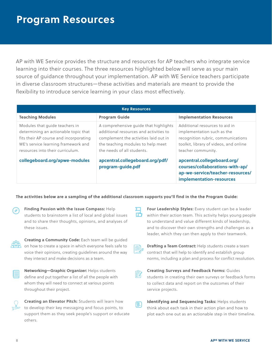## **Program Resources**

AP with WE Service provides the structure and resources for AP teachers who integrate service learning into their courses. The three resources highlighted below will serve as your main source of guidance throughout your implementation. AP with WE Service teachers participate in diverse classroom structures—these activities and materials are meant to provide the flexibility to introduce service learning in your class most effectively.

| <b>Key Resources</b>                                                                                                                                                                        |                                                                                                                                                                                             |                                                                                                                                                                    |  |  |
|---------------------------------------------------------------------------------------------------------------------------------------------------------------------------------------------|---------------------------------------------------------------------------------------------------------------------------------------------------------------------------------------------|--------------------------------------------------------------------------------------------------------------------------------------------------------------------|--|--|
| <b>Teaching Modules</b>                                                                                                                                                                     | <b>Program Guide</b>                                                                                                                                                                        | <b>Implementation Resources</b>                                                                                                                                    |  |  |
| Modules that guide teachers in<br>determining an actionable topic that<br>fits their AP course and incorporating<br>WE's service learning framework and<br>resources into their curriculum. | A comprehensive guide that highlights<br>additional resources and activities to<br>complement the activities laid out in<br>the teaching modules to help meet<br>the needs of all students. | Additional resources to aid in<br>implementation such as the<br>recognition rubric, communications<br>toolkit, library of videos, and online<br>teacher community. |  |  |
| collegeboard.org/apwe-modules                                                                                                                                                               | apcentral.collegeboard.org/pdf/<br>program-guide.pdf                                                                                                                                        | apcentral.collegeboard.org/<br>courses/collaborations-with-ap/<br>ap-we-service/teacher-resources/<br>implementation-resources                                     |  |  |

#### **The activities below are a sampling of the additional classroom supports you'll find in the the Program Guide:**

| ⊕ | Finding Passion with the Issue Compass: Help             |
|---|----------------------------------------------------------|
|   | students to brainstorm a list of local and global issues |
|   | and to share their thoughts, opinions, and analyses of   |
|   | these issues.                                            |



| Networking-Graphic Organizer: Helps students          |  |
|-------------------------------------------------------|--|
| define and put together a list of all the people with |  |
| whom they will need to connect at various points      |  |
| throughout their project.                             |  |

| ٠<br>۲<br>۰<br>÷ |  |
|------------------|--|

**Creating an Elevator Pitch:** Students will learn how to develop their key messaging and focus points, to support them as they seek people's support or educate others.

**Four Leadership Styles:** Every student can be a leader within their action team. This activity helps young people to understand and value different kinds of leadership, and to discover their own strengths and challenges as a leader, which they can then apply to their teamwork.

**Drafting a Team Contract:** Help students create a team contract that will help to identify and establish group norms, including a plan and process for conflict resolution.

**Creating Surveys and Feedback Forms:** Guides students in creating their own surveys or feedback forms to collect data and report on the outcomes of their service projects.

**Identifying and Sequencing Tasks:** Helps students 囮 think about each task in their action plan and how to plot each one out as an actionable step in their timeline.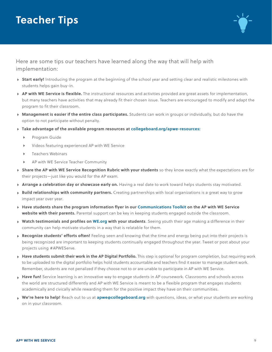## **Teacher Tips**



Here are some tips our teachers have learned along the way that will help with implementation:

- **Start early!** Introducing the program at the beginning of the school year and setting clear and realistic milestones with students helps gain buy-in.
- **AP with WE Service is flexible.** The instructional resources and activities provided are great assets for implementation, but many teachers have activities that may already fit their chosen issue. Teachers are encouraged to modify and adapt the program to fit their classroom.
- **Management is easier if the entire class participates.** Students can work in groups or individually, but do have the option to not participate without penalty.
- **Take advantage of the available program resources at [collegeboard.org/apwe-resources:](http://collegeboard.org/apwe-resources)** 
	- Program Guide
	- Videos featuring experienced AP with WE Service
	- **Teachers Webinars**
	- AP with WE Service Teacher Community
- **Share the AP with WE Service Recognition Rubric with your students** so they know exactly what the expectations are for their projects—just like you would for the AP exam.
- **Arrange a celebration day or showcase early on.** Having a real date to work toward helps students stay motivated.
- **Build relationships with community partners.** Creating partnerships with local organizations is a great way to grow impact year over year.
- **Have students share the program information flyer in our [Communications Toolkit](https://apcentral.collegeboard.org/courses/collaborations-with-ap/ap-we-service/teacher-resources/toolkit) on the AP with WE Service website with their parents.** Parental support can be key in keeping students engaged outside the classroom.
- **Watch testimonials and profiles on [WE.org](http://WE.org) with your students**. Seeing youth their age making a difference in their community can help motivate students in a way that is relatable for them.
- **Recognize students' efforts often!** Feeling seen and knowing that the time and energy being put into their projects is being recognized are important to keeping students continually engaged throughout the year. Tweet or post about your projects using #APWEServe.
- **Have students submit their work in the AP Digital Portfolio.** This step is optional for program completion, but requiring work to be uploaded to the digital portfolio helps hold students accountable and teachers find it easier to manage student work. Remember, students are not penalized if they choose not to or are unable to participate in AP with WE Service.
- **Have fun!** Service learning is an innovative way to engage students in AP coursework. Classrooms and schools across the world are structured differently and AP with WE Service is meant to be a flexible program that engages students academically and civically while rewarding them for the positive impact they have on their communities.
- **We're here to help!** Reach out to us at **[apwe@collegeboard.org](mailto:apwe@collegeboard.org)** with questions, ideas, or what your students are working on in your classroom.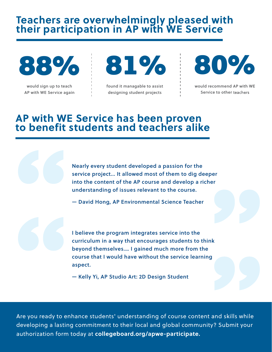# **Teachers are overwhelmingly pleased with their participation in AP with WE Service**

88%

would sign up to teach AP with WE Service again



found it managable to assist designing student projects



would recommend AP with WE Service to other teachers

### **AP with WE Service has been proven to benefit students and teachers alike**

Nearly every student developed a passion for the service project... It allowed most of them to dig deeper into the content of the AP course and develop a richer understanding of issues relevant to the course.

— David Hong, AP Environmental Science Teacher

 curriculum in a way that encourages students to think I believe the program integrates service into the beyond themselves.… I gained much more from the course that I would have without the service learning aspect.

— Kelly Yi, AP Studio Art: 2D Design Student

Are you ready to enhance students' understanding of course content and skills while developing a lasting commitment to their local and global community? Submit your authorization form today at **[collegeboard.org/apwe-participate](http://collegeboard.org/apwe-participate).**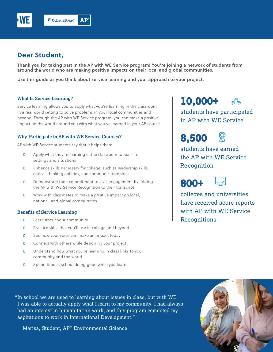

#### **Dear Student,**

 Thank you for taking part in the AP with WE Service program! You're joining a network of students from around the world who are making positive impacts on their local and global communities.

Use this guide as you think about service learning and your approach to your project.

#### **What Is Service Learning?**

 Service learning allows you to apply what you're learning in the classroom in a real world setting to solve problems in your local communities and beyond. Through the AP with WE Service program, you can make a positive impact on the world around you with what you've learned in your AP course.

#### **Why Participate in AP with WE Service Courses?**

AP with WE Service students say that it helps them

- **D** Apply what they're learning in the classroom to real-life settings and situations
- **D** Enhance skills necessary for college, such as leadership skills, critical-thinking abilities, and communication skills
- the AP with WE Service Recognition to their transcript **D** Demonstrate their commitment to civic engagement by adding
- **D** Work with classmates to make a positive impact on local, national, and global communities

#### **Benefits of Service Learning**

- **D** Learn about your community
- **D** Practice skills that you'll use in college and beyond
- **D** See how your voice can make an impact today
- D Connect with others while designing your project
- **D** Understand how what you're learning in class links to your community and the world
- **D** Spend time at school doing good while you learn

## **10,000+**

 students have participated in AP with WE Service

**8,500** 



 students have earned the AP with WE Service **Recognition** 



 with AP with WE Service colleges and universities have received score reports **Recognitions** 

 "In school we are used to learning about issues in class, but with WE I was able to actually apply what I learn to my community. I had always had an interest in humanitarian work, and this program cemented my aspirations to work in International Development."

Marisa, Student, AP® Environmental Science

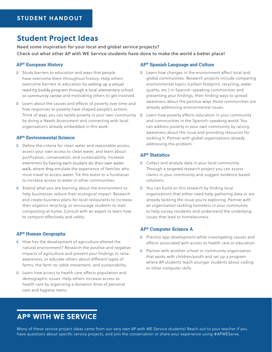#### **Student Project Ideas**

 Check out what other AP with WE Service students have done to make the world a better place! Need some inspiration for your local and global service projects?

#### **AP® European History**

- **D** Study barriers to education and ways that people have overcome them throughout history. Help others overcome barriers to education by reading buddy program through a local elementary school and motivating others to get involved.
- Think of ways you can tackle poverty in your own community � Learn how poverty affects education in your community by doing a Needs Assessment and connecting with local ■ Learn about the causes and effects of poverty over time and how responses to poverty have shaped people's actions. organizations already embedded in this work.

#### **AP® Environmental Science**

- D Define the criteria for clean water and reasonable access, assess your own access to clean water, and learn about awareness by must travel to access water. Tie this event to a fundraiser to increase access to water in other communities. purification, conservation, and sustainability. Increase walk, where they emulate the experience of families who
- **D** Extend what you are learning about the environment to help businesses reduce their ecological impact. Research and create business plans for local restaurants to increase their organics recycling, or encourage students to start composting at home. Consult with an expert to learn how to compost effectively and safely.

#### **AP® Human Geography**

- natural environment? Research the positive and negative impacts of agriculture and present your findings to raise ■ How has the development of agriculture altered the awareness, or educate others about different types of farms, the farm-to-table movement, and sustainability.
- **D** Learn how access to health care affects population and demographic issues. Help others increase access to health care by organizing a donation drive of personal care and hygiene items.

#### **AP® Spanish Language and Culture**

- D Learn how changes in the environment affect local and global communities. Research projects include comparing presenting your findings, then finding ways to spread environmental topics (carbon footprint, recycling, water quality, etc.) in Spanish-speaking communities and awareness about the positive ways those communities are already addressing environmental issues.
- tackling it. Partner with global organizations already and communities in the Spanish-speaking world. You can address poverty in your own community by raising awareness about the issue and providing resources for addressing the problem.

#### **AP® Statistics**

- D Collect and analyze data in your local community. Through a targeted research project you can assess claims in your community and suggest evidence based solutions.
- You can build on this research by finding local organizations that either need help gathering data or are to help survey residents and understand the underlying issues that lead to homelessness. already tackling the issue you're exploring. Partner with an organization tackling homeless in your community

#### **AP® Computer Science A**

- D Practice app development while investigating causes and effects associated with access to health care or education.
- **D** Partner with another school or community organization that works with children/youth and set up a program where AP students teach younger students about coding or other computer skills.

### **AP® WITH WE SERVICE**

Many of these service project ideas came from our very own AP with WE Service students! Reach out to your teacher if you have questions about specific service projects, and join the conversation or share your experience using #APWEServe.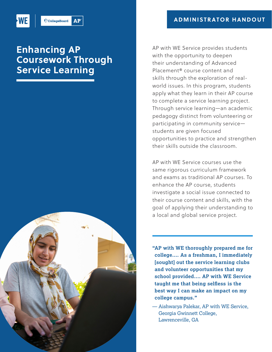

#### $AP<sup>2</sup>$  $\bigcirc$  CollegeBoard

## **Enhancing AP Coursework Through Service Learning**



 AP with WE Service provides students with the opportunity to deepen their understanding of Advanced world issues. In this program, students apply what they learn in their AP course to complete a service learning project. Through service learning—an academic pedagogy distinct from volunteering or participating in community service— students are given focused opportunities to practice and strengthen their skills outside the classroom. Placement® course content and skills through the exploration of real-

 AP with WE Service courses use the same rigorous curriculum framework and exams as traditional AP courses. To enhance the AP course, students investigate a social issue connected to their course content and skills, with the goal of applying their understanding to a local and global service project.

 **"AP with WE thoroughly prepared me for college.… As a freshman, I immediately [sought] out the service learning clubs and volunteer opportunities that my school provided.... AP with WE Service taught me that being selfless is the best way I can make an impact on my college campus."** 

— Aishwarya Palekar, AP with WE Service, Georgia Gwinnett College, Lawrenceville, GA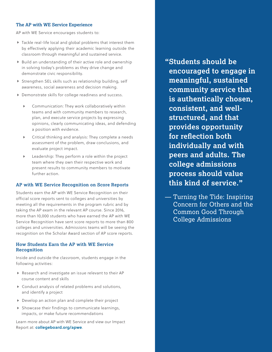#### **The AP with WE Service Experience**

AP with WE Service encourages students to:

- by effectively applying their academic learning outside the Tackle real-life local and global problems that interest them classroom through meaningful and sustained service.
- Build an understanding of their active role and ownership in solving today's problems as they drive change and demonstrate civic responsibility.
- Strengthen SEL skills such as relationship building, self awareness, social awareness and decision making.
- Demonstrate skills for college readiness and success.
	- Communication: They work collaboratively within teams and with community members to research, plan, and execute service projects by expressing opinions, clearly communicating ideas, and defending a position with evidence.
	- Critical thinking and analysis: They complete a needs assessment of the problem, draw conclusions, and evaluate project impact.
	- Leadership: They perform a role within the project team where they own their respective work and present results to community members to motivate further action.

#### **AP with WE Service Recognition on Score Reports**

Students earn the AP with WE Service Recognition on their official score reports sent to colleges and universities by meeting all the requirements in the program rubric and by taking the AP exam in the relevant AP course. Since 2016, more than 10,000 students who have earned the AP with WE Service Recognition have sent score reports to more than 800 colleges and universities. Admissions teams will be seeing the recognition on the Scholar Award section of AP score reports.

#### **How Students Earn the AP with WE Service Recognition**

Inside and outside the classroom, students engage in the following activities:

- Research and investigate an issue relevant to their AP course content and skills
- Conduct analysis of related problems and solutions, and identify a project
- Develop an action plan and complete their project
- Showcase their findings to communicate learnings, impacts, or make future recommendations

Learn more about AP with WE Service and view our Impact Report at: **[collegeboard.org/apwe](https://collegeboard.org/apwe)**.

**"Students should be encouraged to engage in meaningful, sustained community service that is authentically chosen, consistent, and wellstructured, and that provides opportunity for reflection both individually and with peers and adults. The college admissions process should value this kind of service."** 

— Turning the Tide: Inspiring Concern for Others and the Common Good Through College Admissions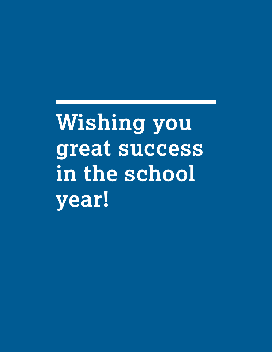**Wishing you great success in the school year!**